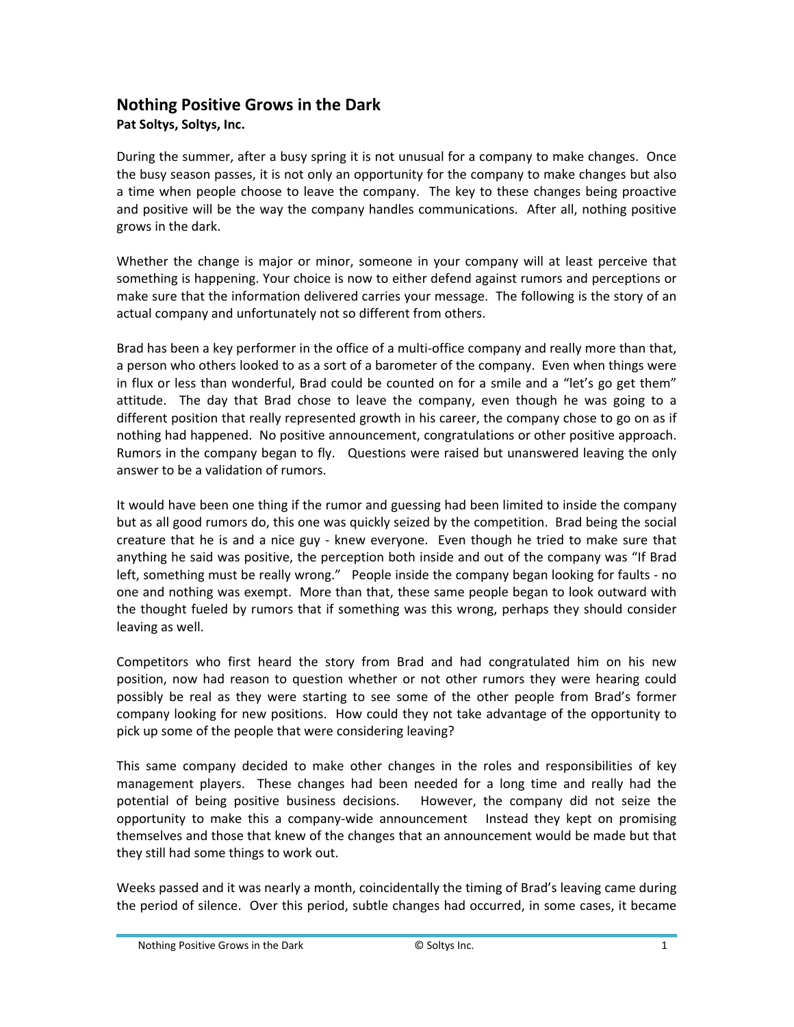## **Nothing Positive Grows in the Dark**

## **Pat Soltys, Soltys, Inc.**

During the summer, after a busy spring it is not unusual for a company to make changes. Once the busy season passes, it is not only an opportunity for the company to make changes but also a time when people choose to leave the company. The key to these changes being proactive and positive will be the way the company handles communications. After all, nothing positive grows in the dark.

Whether the change is major or minor, someone in your company will at least perceive that something is happening. Your choice is now to either defend against rumors and perceptions or make sure that the information delivered carries your message. The following is the story of an actual company and unfortunately not so different from others.

Brad has been a key performer in the office of a multi-office company and really more than that, a person who others looked to as a sort of a barometer of the company. Even when things were in flux or less than wonderful, Brad could be counted on for a smile and a "let's go get them" attitude. The day that Brad chose to leave the company, even though he was going to a different position that really represented growth in his career, the company chose to go on as if nothing had happened. No positive announcement, congratulations or other positive approach. Rumors in the company began to fly. Questions were raised but unanswered leaving the only answer to be a validation of rumors.

It would have been one thing if the rumor and guessing had been limited to inside the company but as all good rumors do, this one was quickly seized by the competition. Brad being the social creature that he is and a nice guy - knew everyone. Even though he tried to make sure that anything he said was positive, the perception both inside and out of the company was "If Brad left, something must be really wrong." People inside the company began looking for faults - no one and nothing was exempt. More than that, these same people began to look outward with the thought fueled by rumors that if something was this wrong, perhaps they should consider leaving as well.

Competitors who first heard the story from Brad and had congratulated him on his new position, now had reason to question whether or not other rumors they were hearing could possibly be real as they were starting to see some of the other people from Brad's former company looking for new positions. How could they not take advantage of the opportunity to pick up some of the people that were considering leaving?

This same company decided to make other changes in the roles and responsibilities of key management players. These changes had been needed for a long time and really had the potential of being positive business decisions. However, the company did not seize the opportunity to make this a company‐wide announcement Instead they kept on promising themselves and those that knew of the changes that an announcement would be made but that they still had some things to work out.

Weeks passed and it was nearly a month, coincidentally the timing of Brad's leaving came during the period of silence. Over this period, subtle changes had occurred, in some cases, it became